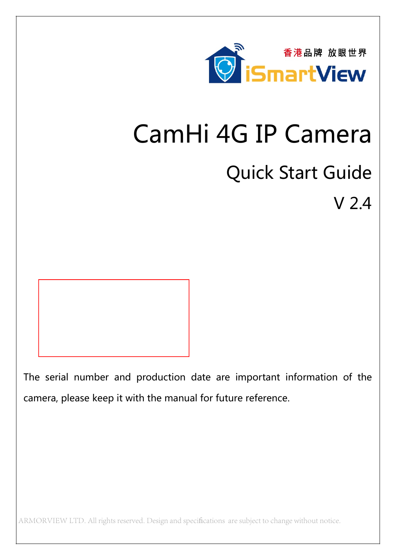

# CamHi 4G IP Camera

## Quick Start Guide

V 2.4



The serial number and production date are important information of the camera, please keep it with the manual for future reference.

ARMORVIEW LTD. All rights reserved. Design and specifications are subject to change without notice.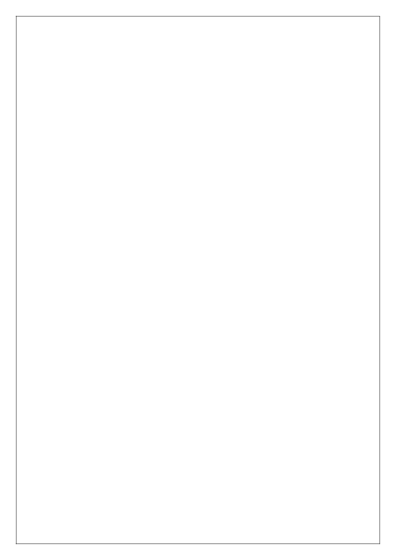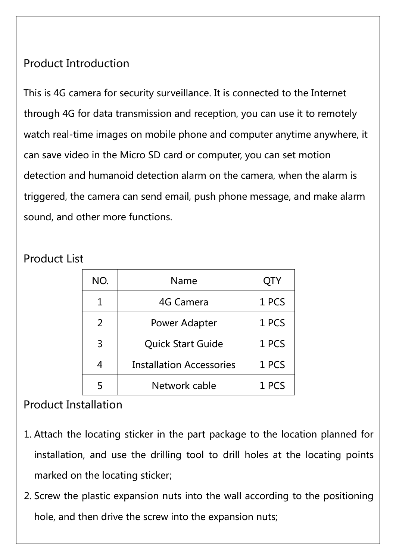### Product Introduction

This is 4G camera for security surveillance. It is connected to the Internet through 4G for data transmission and reception, you can use it to remotely watch real-time images on mobile phone and computer anytime anywhere, it can save video in the Micro SD card or computer, you can set motion detection and humanoid detection alarm on the camera, when the alarm is triggered, the camera can send email, push phone message, and make alarm sound, and other more functions.

#### Product List

| NO.            | Name                            | QTY   |
|----------------|---------------------------------|-------|
| 1              | 4G Camera                       | 1 PCS |
| $\overline{2}$ | Power Adapter                   | 1 PCS |
| 3              | <b>Quick Start Guide</b>        | 1 PCS |
| 4              | <b>Installation Accessories</b> | 1 PCS |
|                | Network cable                   | 1 PCS |

### Product Installation

- 1. Attach the locating sticker in the part package to the location planned for installation, and use the drilling tool to drill holes at the locating points marked on the locating sticker;
- 2. Screw the plastic expansion nuts into the wall according to the positioning hole, and then drive the screw into the expansion nuts;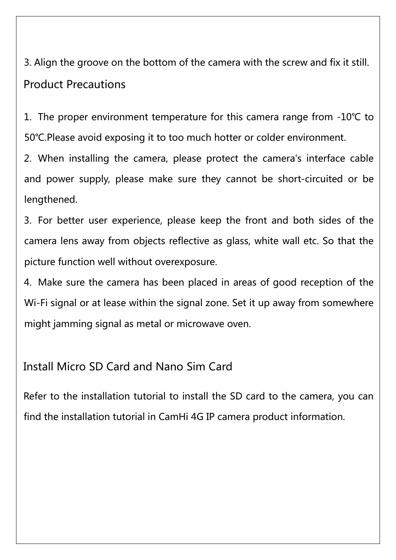3. Align the groove on the bottom of the camera with the screw and fix it still. Product Precautions

1. The proper environment temperature for this camera range from -10℃ to 50℃.Please avoid exposing it to too much hotter or colder environment.

2. When installing the camera, please protect the camera's interface cable and power supply, please make sure they cannot be short-circuited or be lengthened.

3. For better user experience, please keep the front and both sides of the camera lens away from objects reflective as glass, white wall etc. So that the picture function well without overexposure.

4. Make sure the camera has been placed in areas of good reception of the Wi-Fi signal or at lease within the signal zone. Set it up away from somewhere might jamming signal as metal or microwave oven.

#### Install Micro SD Card and Nano Sim Card

Refer to the installation tutorial to install the SD card to the camera, you can find the installation tutorial in CamHi 4G IP camera product information.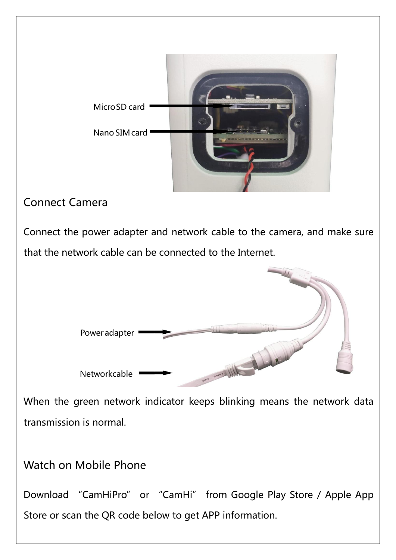

#### Connect Camera

Connect the power adapter and network cable to the camera, and make sure that the network cable can be connected to the Internet.



When the green network indicator keeps blinking means the network data transmission is normal.

### Watch on Mobile Phone

Download "CamHiPro" or "CamHi" from Google Play Store / Apple App Store or scan the QR code below to get APP information.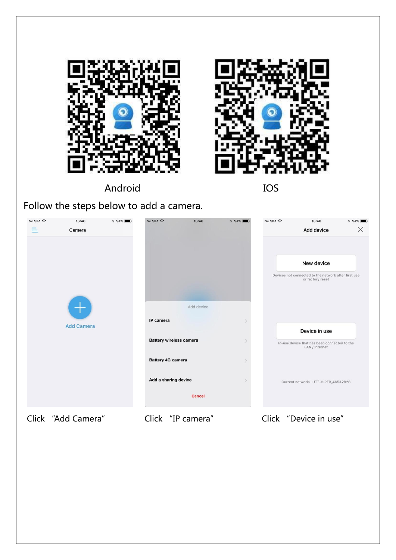



Android IOS

Follow the steps below to add a camera.

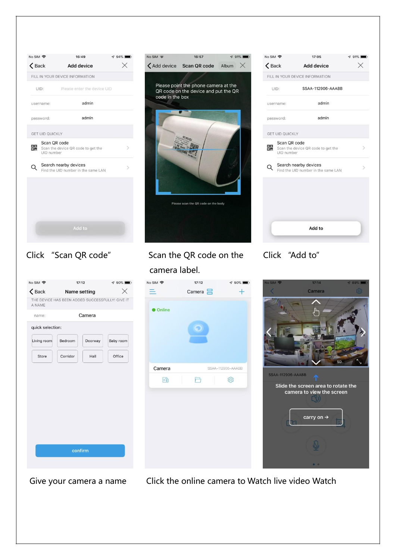

| quick selection:<br>Bedroom<br>Corridor | Name setting<br>THE DEVICE HAS BEEN ADDED SUCCESSFULLY! GIVE IT<br>Camera<br>Doorway<br>Hall | Baby room |
|-----------------------------------------|----------------------------------------------------------------------------------------------|-----------|
|                                         |                                                                                              |           |
|                                         |                                                                                              |           |
|                                         |                                                                                              |           |
|                                         |                                                                                              |           |
|                                         |                                                                                              |           |
|                                         |                                                                                              | Office    |
|                                         |                                                                                              |           |
|                                         |                                                                                              |           |
|                                         |                                                                                              | confirm   |



Click "Scan QR code" Scan the QR code on the Click "Add to" camera label.



![](_page_6_Picture_7.jpeg)

![](_page_6_Picture_9.jpeg)

Give your camera a name Click the online camera to Watch live video Watch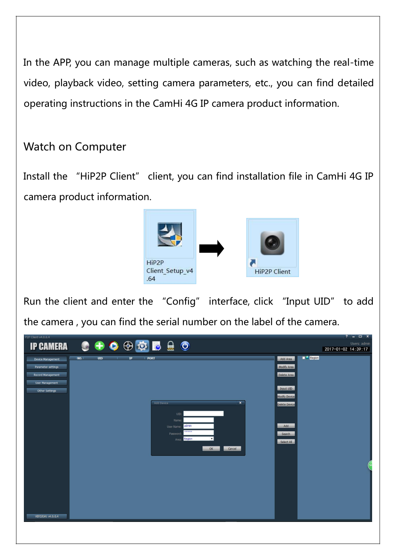In the APP, you can manage multiple cameras, such as watching the real-time video, playback video, setting camera parameters, etc., you can find detailed operating instructions in the CamHi 4G IP camera product information.

#### Watch on Computer

Install the "HiP2P Client" client, you can find installation file in CamHi 4G IP camera product information.

![](_page_7_Picture_3.jpeg)

Run the client and enter the "Config" interface, click "Input UID" to add the camera , you can find the serial number on the label of the camera.

![](_page_7_Picture_5.jpeg)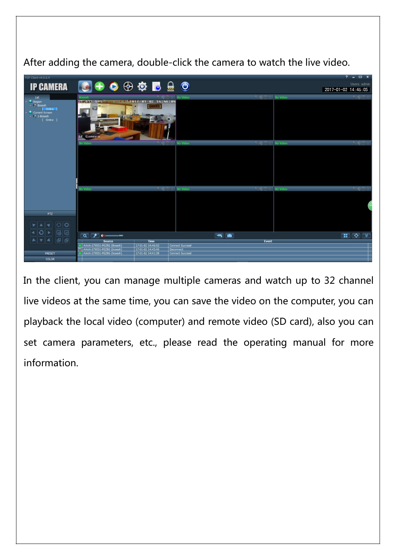After adding the camera, double-click the camera to watch the live video.

![](_page_8_Picture_1.jpeg)

In the client, you can manage multiple cameras and watch up to 32 channel live videos at the same time, you can save the video on the computer, you can playback the local video (computer) and remote video (SD card), also you can set camera parameters, etc., please read the operating manual for more information.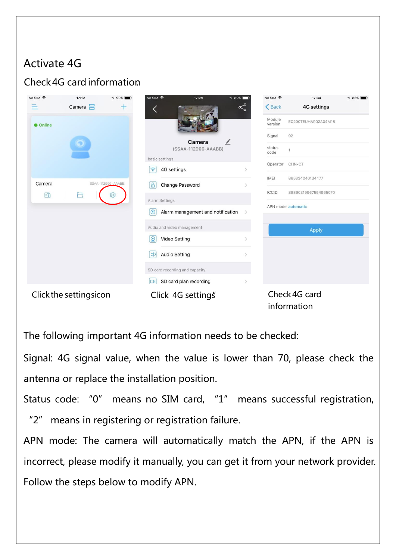## Activate 4G

#### Check4G card information.

| No SIM 今        | 17:12                  | $\sqrt{90\%}$     | No SIM 〒                              | 17:29                             | $789\%$       | No SIM 今          | 17:34                        | $\sqrt{88\%}$ |  |
|-----------------|------------------------|-------------------|---------------------------------------|-----------------------------------|---------------|-------------------|------------------------------|---------------|--|
|                 | Camera                 | ╈                 |                                       |                                   | $\leqslant$   | <b>くBack</b>      | <b>4G settings</b>           |               |  |
| <b>O</b> Online |                        |                   |                                       |                                   |               | Module<br>version | EC200TEUHAR02A04M16          |               |  |
|                 |                        |                   |                                       |                                   |               | Signal            | 92                           |               |  |
|                 |                        |                   |                                       | Camera<br>(SSAA-112906-AAABB)     |               | status<br>code    | $\mathcal{A}$                |               |  |
|                 |                        |                   | basic settings                        |                                   |               | Operator          | CHN-CT                       |               |  |
|                 |                        |                   | $\widehat{\mathbb{R}}$<br>4G settings |                                   |               | <b>IMEI</b>       | 865334040134477              |               |  |
| Camera          |                        | SSAA-112906-AAABB | $\triangle$                           | Change Password                   |               |                   |                              |               |  |
| $\nu_{\rm B}$   | P                      |                   |                                       |                                   |               | <b>ICCID</b>      | 89860319967554965070         |               |  |
|                 |                        |                   |                                       | Alarm Settings                    |               |                   | APN mode automatic           |               |  |
|                 |                        |                   | $\circledast$                         | Alarm management and notification | $\rightarrow$ |                   |                              |               |  |
|                 |                        |                   |                                       | Audio and video management        |               |                   | Apply                        |               |  |
|                 |                        |                   | $\odot$                               | <b>Video Setting</b>              |               |                   |                              |               |  |
|                 |                        |                   | $\triangle$                           | <b>Audio Setting</b>              |               |                   |                              |               |  |
|                 |                        |                   |                                       | SD card recording and capacity    |               |                   |                              |               |  |
|                 |                        |                   | $\Box$                                | SD card plan recording            | $\mathcal{S}$ |                   |                              |               |  |
|                 | Click the settingsicon |                   |                                       | Click 4G settings                 |               |                   | Check 4G card<br>information |               |  |

The following important 4G information needs to be checked:

Signal: 4G signal value, when the value is lower than 70, please check the antenna or replace the installation position.

Status code: "0" means no SIM card, "1" means successful registration,

"2" means in registering or registration failure.

APN mode: The camera will automatically match the APN, if the APN is incorrect, please modify it manually, you can get it from your network provider. Follow the steps below to modify APN.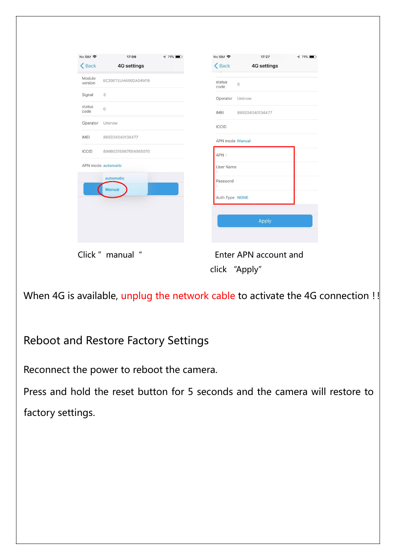| No SIM 今<br>$\bigwedge$ Back | 17:09<br>4G settings | $771\%$ | No SIM 今<br>$\left\langle \right\rangle$ Back | 17:27<br>4G settings  | $771\%$ |
|------------------------------|----------------------|---------|-----------------------------------------------|-----------------------|---------|
| Module<br>version            | EC200TEUHAR02A04M16  |         | status<br>code                                | $\circ$               |         |
| Signal<br>3                  |                      |         | Operator Unknow                               |                       |         |
| status<br>$\circ$<br>code    |                      |         | <b>IMEI</b>                                   | 865334040134477       |         |
| Operator Unknow              |                      |         | <b>ICCID</b>                                  |                       |         |
| <b>IMEI</b>                  | 865334040134477      |         | APN mode Manual                               |                       |         |
| <b>ICCID</b>                 | 89860319967554965070 |         | APN:                                          |                       |         |
| APN mode automatic           |                      |         | User Name                                     |                       |         |
|                              | automatic            |         | Password                                      |                       |         |
|                              | <b>Manual</b>        |         | Auth Type NONE                                |                       |         |
|                              |                      |         |                                               |                       |         |
|                              |                      |         |                                               | Apply                 |         |
|                              |                      |         |                                               |                       |         |
|                              | Click " manual "     |         |                                               | Enter APN account and |         |
|                              |                      |         | click "Apply"                                 |                       |         |

When 4G is available, unplug the network cable to activate the 4G connection !!

Reboot and Restore Factory Settings

Reconnect the power to reboot the camera.

Press and hold the reset button for 5 seconds and the camera will restore to factory settings.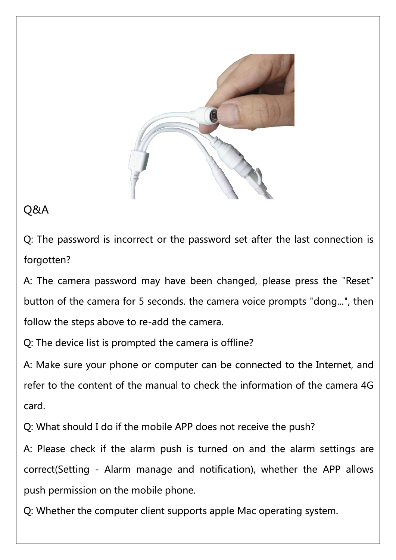![](_page_11_Picture_0.jpeg)

#### Q&A

Q: The password is incorrect or the password set after the last connection is forgotten?

A: The camera password may have been changed, please press the "Reset" button of the camera for 5 seconds. the camera voice prompts "dong...", then follow the steps above to re-add the camera.

Q: The device list is prompted the camera is offline?

A: Make sure your phone or computer can be connected to the Internet, and refer to the content of the manual to check the information of the camera 4G card.

Q: What should I do if the mobile APP does not receive the push?

A: Please check if the alarm push is turned on and the alarm settings are correct(Setting - Alarm manage and notification), whether the APP allows push permission on the mobile phone.

Q: Whether the computer client supports apple Mac operating system.